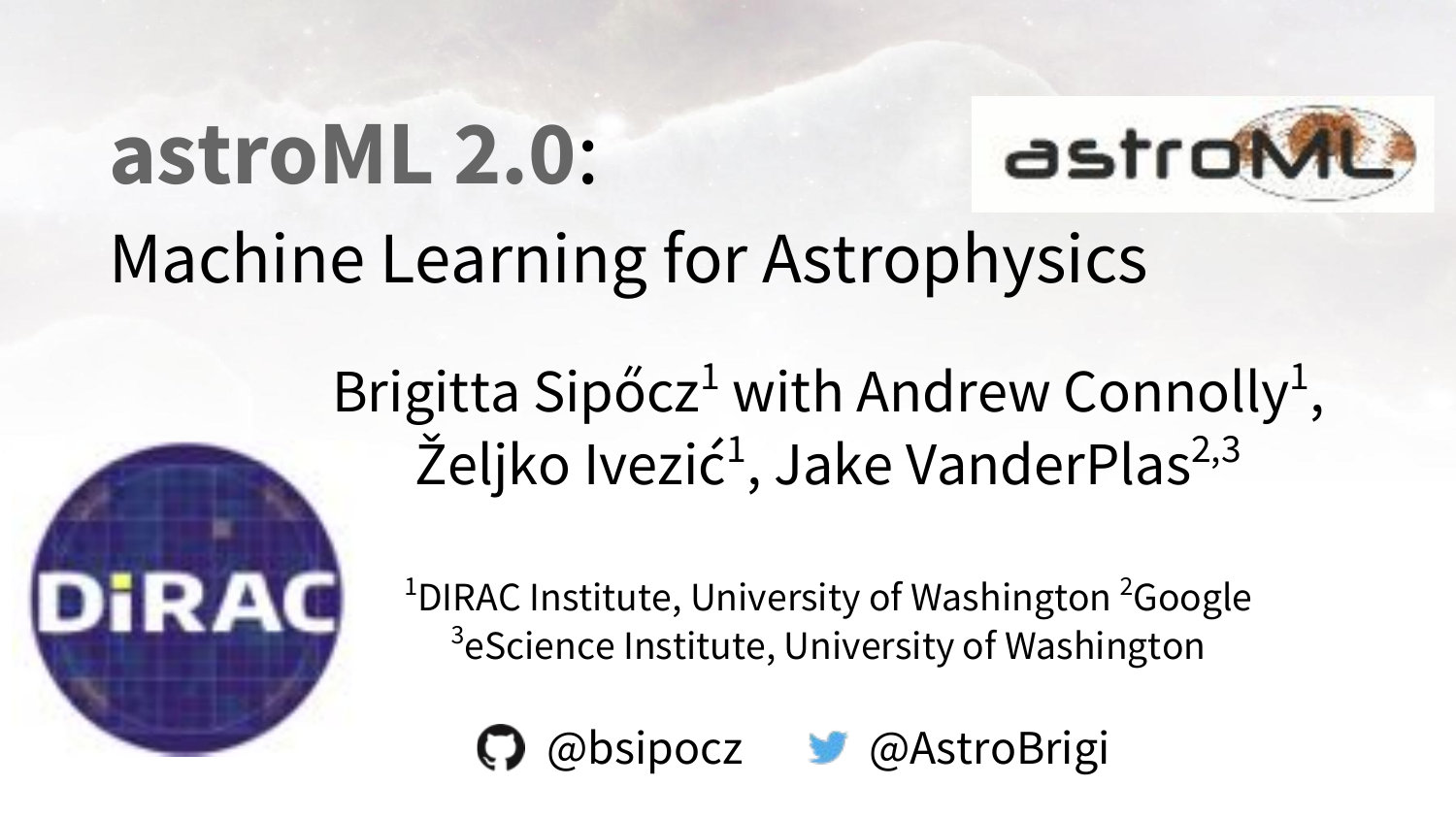# **astroML 2.0**:



### Machine Learning for Astrophysics

#### Brigitta Sipőcz<sup>1</sup> with Andrew Connolly<sup>1</sup>, Željko Ivezić<sup>1</sup>, Jake VanderPlas<sup>2,3</sup>



<sup>1</sup>DIRAC Institute, University of Washington<sup>2</sup>Google <sup>3</sup>eScience Institute, University of Washington

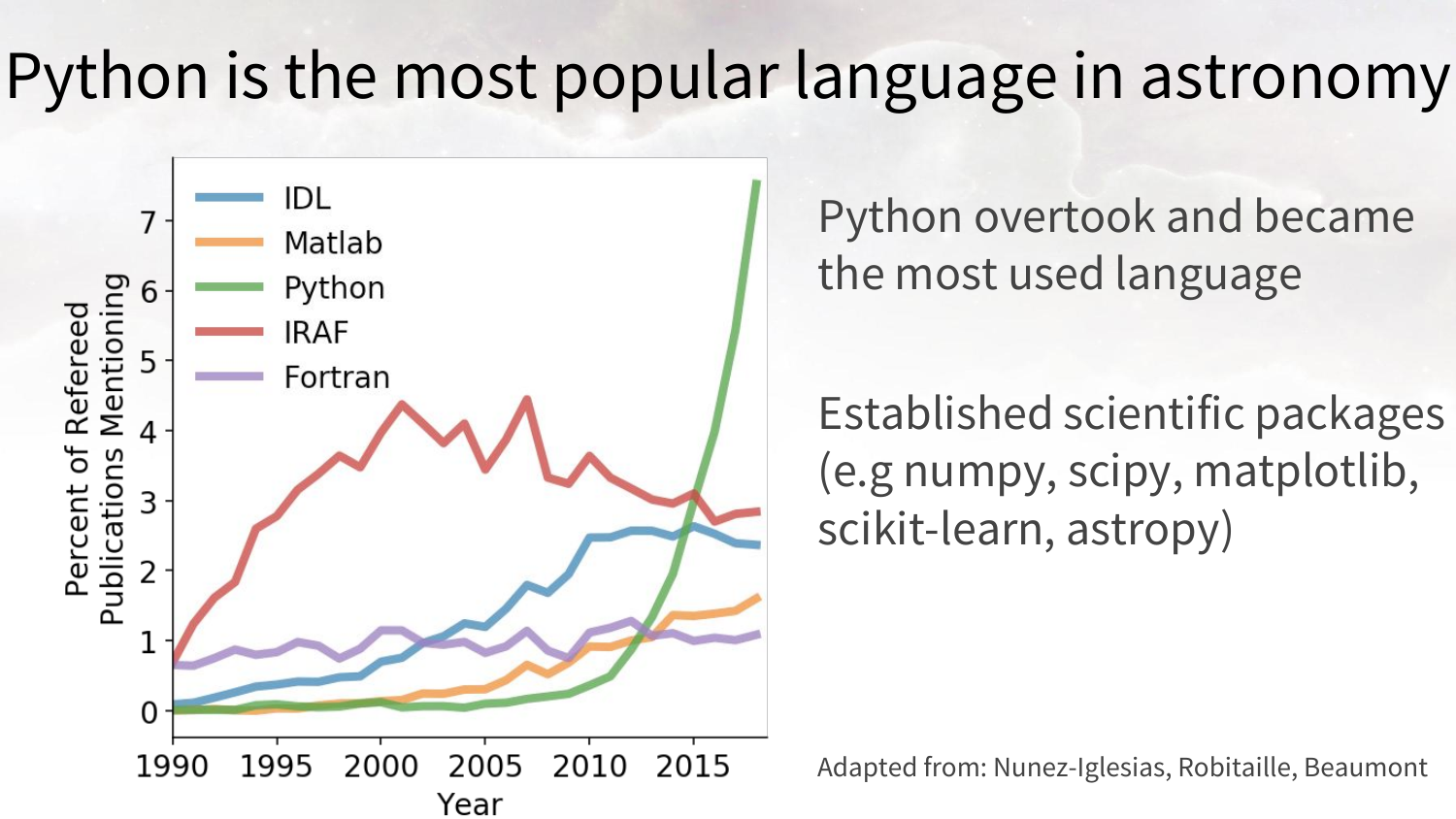#### Python is the most popular language in astronomy



Python overtook and became the most used language

Established scientific packages (e.g numpy, scipy, matplotlib, scikit-learn, astropy)

Adapted from: Nunez-Iglesias, Robitaille, [Beaumont](https://chrisbeaumont.org/)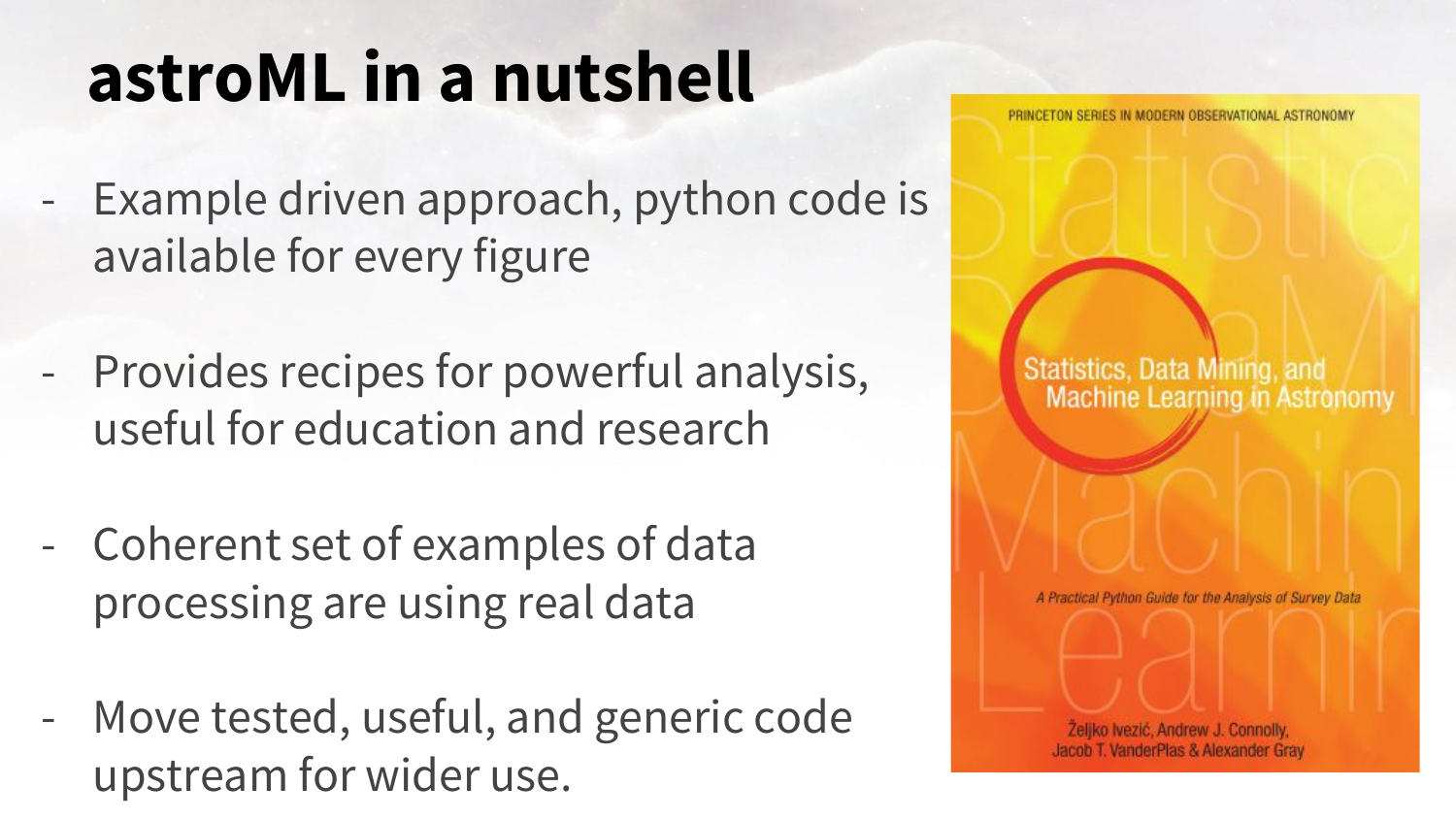## **astroML in a nutshell**

- Example driven approach, python code is available for every figure
- Provides recipes for powerful analysis, useful for education and research
- Coherent set of examples of data processing are using real data
- Move tested, useful, and generic code upstream for wider use.



PRINCETON SERIES IN MODERN ORSERVATIONAL ASTRONOMY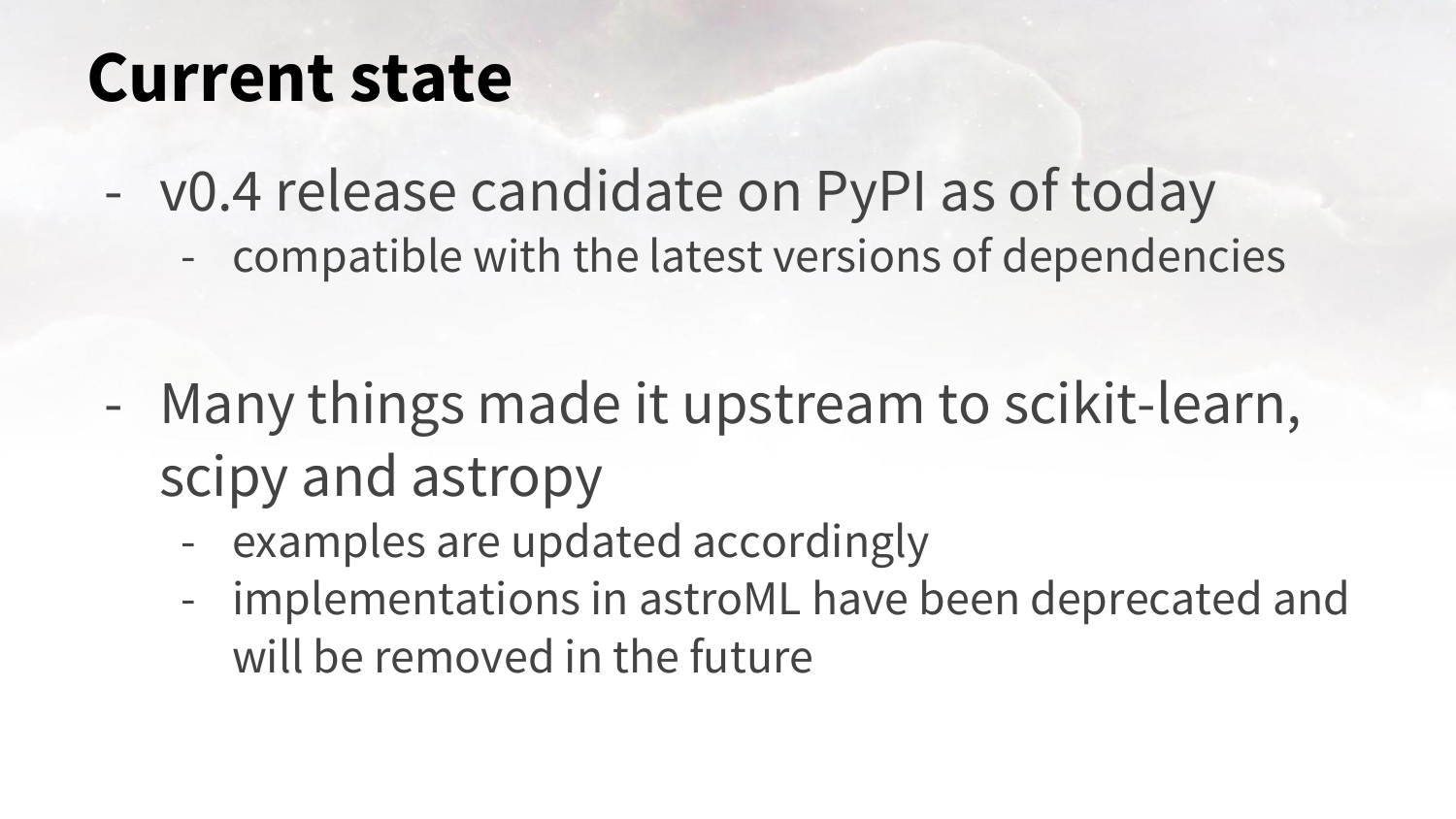#### **Current state**

- v0.4 release candidate on PyPI as of today - compatible with the latest versions of dependencies

- Many things made it upstream to scikit-learn, scipy and astropy
	- examples are updated accordingly
	- implementations in astroML have been deprecated and will be removed in the future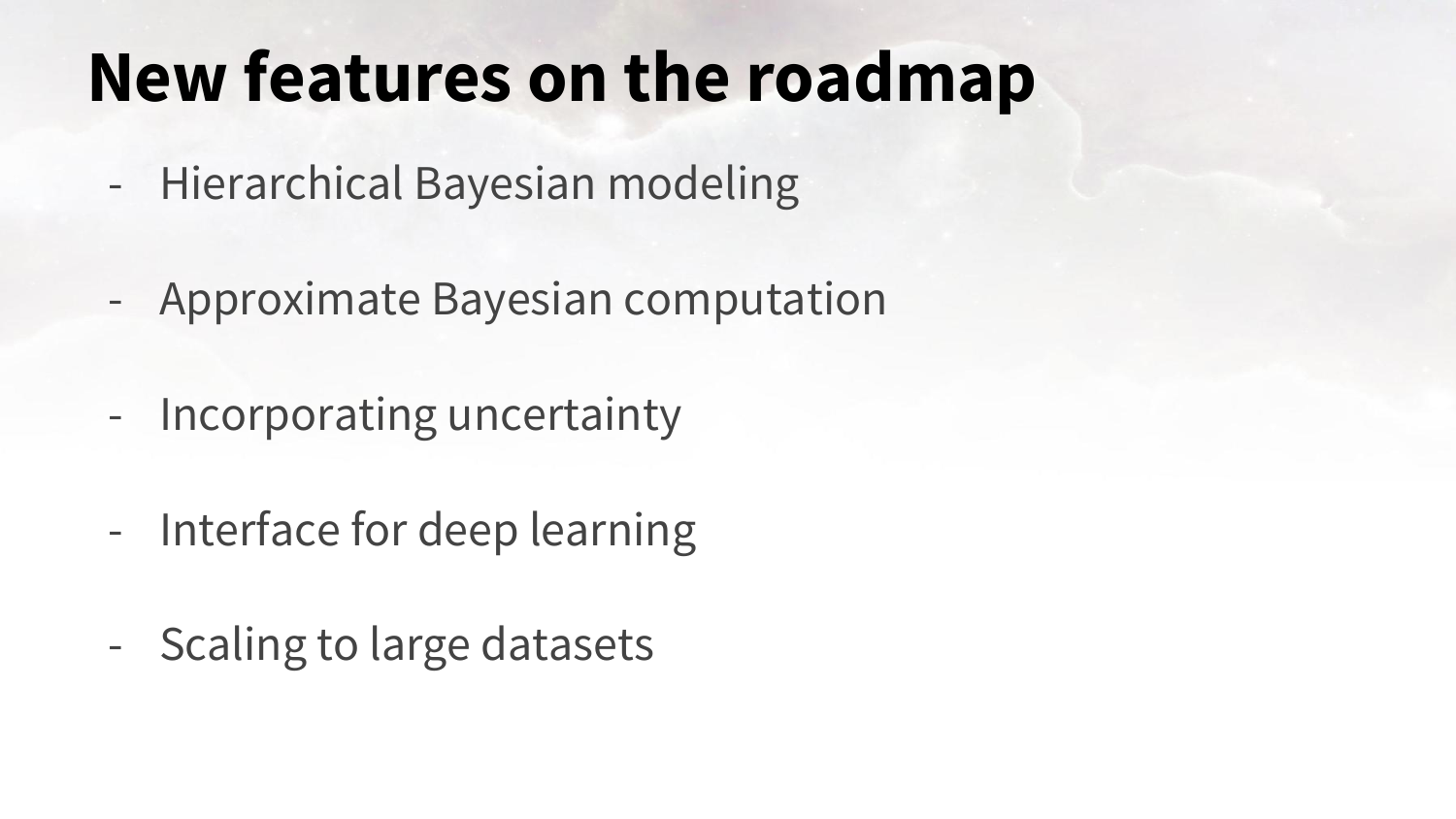## **New features on the roadmap**

- Hierarchical Bayesian modeling
- Approximate Bayesian computation
- Incorporating uncertainty
- Interface for deep learning
- Scaling to large datasets